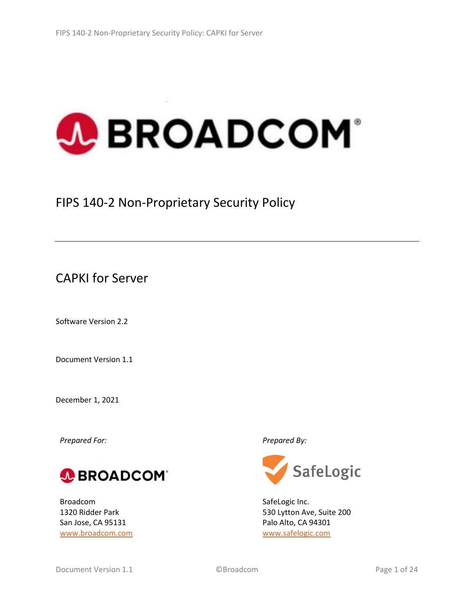# **A BROADCOM**

FIPS 140-2 Non-Proprietary Security Policy

CAPKI for Server

Software Version 2.2

<span id="page-0-0"></span>Document Version 1.1

December 1, 2021

*Prepared For: Prepared By:*



Broadcom 1320 Ridder Park San Jose, CA 95131 [www.broadcom.com](http://www.broadcom.com/)



SafeLogic Inc. 530 Lytton Ave, Suite 200 Palo Alto, CA 94301 [www.safelogic.com](http://www.safelogic.com/)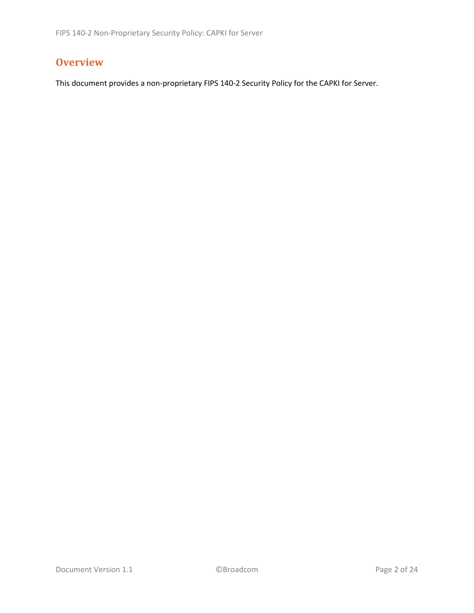# **Overview**

This document provides a non-proprietary FIPS 140-2 Security Policy for the CAPKI for Server.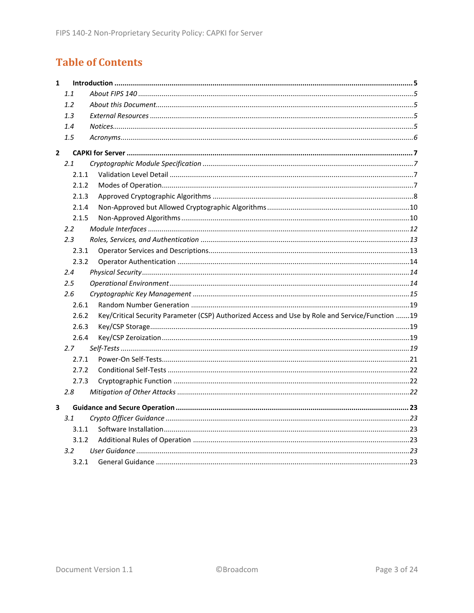# **Table of Contents**

| $\mathbf{1}$ |       |                                                                                                 |  |
|--------------|-------|-------------------------------------------------------------------------------------------------|--|
|              | 1.1   |                                                                                                 |  |
|              | 1.2   |                                                                                                 |  |
|              | 1.3   |                                                                                                 |  |
|              | 1.4   |                                                                                                 |  |
|              | 1.5   |                                                                                                 |  |
| $\mathbf{2}$ |       |                                                                                                 |  |
|              | 2.1   |                                                                                                 |  |
|              | 2.1.1 |                                                                                                 |  |
|              | 2.1.2 |                                                                                                 |  |
|              | 2.1.3 |                                                                                                 |  |
|              | 2.1.4 |                                                                                                 |  |
|              | 2.1.5 |                                                                                                 |  |
|              | 2.2   |                                                                                                 |  |
|              | 2.3   |                                                                                                 |  |
|              | 2.3.1 |                                                                                                 |  |
|              | 2.3.2 |                                                                                                 |  |
|              | 2.4   |                                                                                                 |  |
|              | 2.5   |                                                                                                 |  |
|              | 2.6   |                                                                                                 |  |
|              | 2.6.1 |                                                                                                 |  |
|              | 2.6.2 | Key/Critical Security Parameter (CSP) Authorized Access and Use by Role and Service/Function 19 |  |
|              | 2.6.3 |                                                                                                 |  |
|              | 2.6.4 |                                                                                                 |  |
|              | 2.7   |                                                                                                 |  |
|              | 2.7.1 |                                                                                                 |  |
|              | 2.7.2 |                                                                                                 |  |
|              | 2.7.3 |                                                                                                 |  |
|              | 2.8   |                                                                                                 |  |
| 3            |       |                                                                                                 |  |
|              | 3.1   |                                                                                                 |  |
|              | 3.1.1 |                                                                                                 |  |
|              | 3.1.2 |                                                                                                 |  |
|              | 3.2   |                                                                                                 |  |
|              | 3.2.1 |                                                                                                 |  |
|              |       |                                                                                                 |  |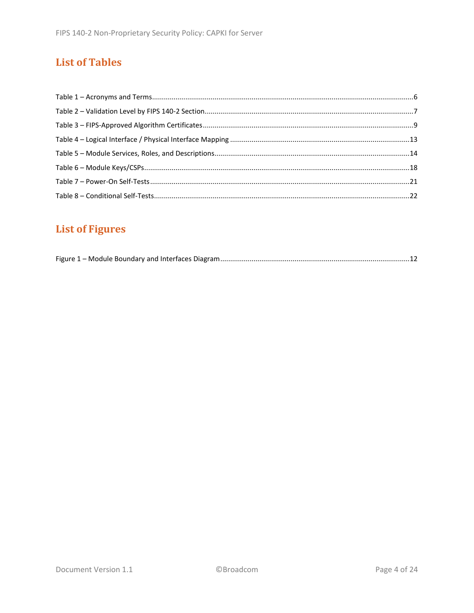# **List of Tables**

# **List of Figures**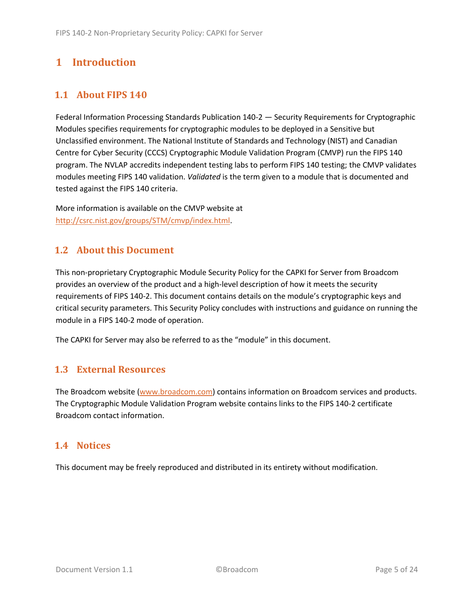# <span id="page-4-0"></span>**1 Introduction**

## <span id="page-4-1"></span>**1.1 About FIPS 140**

Federal Information Processing Standards Publication 140-2 — Security Requirements for Cryptographic Modules specifies requirements for cryptographic modules to be deployed in a Sensitive but Unclassified environment. The National Institute of Standards and Technology (NIST) and Canadian Centre for Cyber Security (CCCS) Cryptographic Module Validation Program (CMVP) run the FIPS 140 program. The NVLAP accredits independent testing labs to perform FIPS 140 testing; the CMVP validates modules meeting FIPS 140 validation. *Validated* is the term given to a module that is documented and tested against the FIPS 140 criteria.

More information is available on the CMVP website at [http://csrc.nist.gov/groups/STM/cmvp/index.html.](http://csrc.nist.gov/groups/STM/cmvp/index.html)

#### <span id="page-4-2"></span>**1.2 About this Document**

This non-proprietary Cryptographic Module Security Policy for the CAPKI for Server from Broadcom provides an overview of the product and a high-level description of how it meets the security requirements of FIPS 140-2. This document contains details on the module's cryptographic keys and critical security parameters. This Security Policy concludes with instructions and guidance on running the module in a FIPS 140-2 mode of operation.

The CAPKI for Server may also be referred to as the "module" in this document.

#### <span id="page-4-3"></span>**1.3 External Resources**

The Broadcom website [\(www.broadcom.com\)](http://www.broadcom.com/) contains information on Broadcom services and products. The Cryptographic Module Validation Program website contains links to the FIPS 140-2 certificate Broadcom contact information.

#### <span id="page-4-4"></span>**1.4 Notices**

This document may be freely reproduced and distributed in its entirety without modification.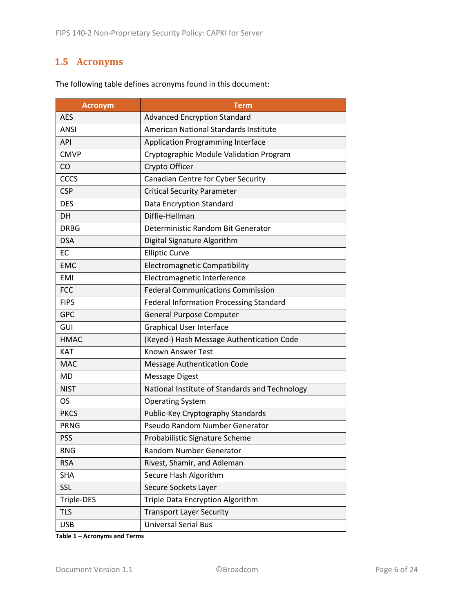## <span id="page-5-0"></span>**1.5 Acronyms**

| <b>Acronym</b> | <b>Term</b>                                    |
|----------------|------------------------------------------------|
| <b>AES</b>     | <b>Advanced Encryption Standard</b>            |
| <b>ANSI</b>    | American National Standards Institute          |
| <b>API</b>     | <b>Application Programming Interface</b>       |
| <b>CMVP</b>    | Cryptographic Module Validation Program        |
| CO             | Crypto Officer                                 |
| <b>CCCS</b>    | Canadian Centre for Cyber Security             |
| <b>CSP</b>     | <b>Critical Security Parameter</b>             |
| <b>DES</b>     | Data Encryption Standard                       |
| DH             | Diffie-Hellman                                 |
| <b>DRBG</b>    | Deterministic Random Bit Generator             |
| <b>DSA</b>     | Digital Signature Algorithm                    |
| EC             | <b>Elliptic Curve</b>                          |
| <b>EMC</b>     | <b>Electromagnetic Compatibility</b>           |
| <b>EMI</b>     | Electromagnetic Interference                   |
| <b>FCC</b>     | <b>Federal Communications Commission</b>       |
| <b>FIPS</b>    | <b>Federal Information Processing Standard</b> |
| <b>GPC</b>     | <b>General Purpose Computer</b>                |
| GUI            | <b>Graphical User Interface</b>                |
| <b>HMAC</b>    | (Keyed-) Hash Message Authentication Code      |
| <b>KAT</b>     | <b>Known Answer Test</b>                       |
| <b>MAC</b>     | <b>Message Authentication Code</b>             |
| <b>MD</b>      | <b>Message Digest</b>                          |
| <b>NIST</b>    | National Institute of Standards and Technology |
| OS             | <b>Operating System</b>                        |
| <b>PKCS</b>    | Public-Key Cryptography Standards              |
| <b>PRNG</b>    | Pseudo Random Number Generator                 |
| <b>PSS</b>     | Probabilistic Signature Scheme                 |
| <b>RNG</b>     | <b>Random Number Generator</b>                 |
| <b>RSA</b>     | Rivest, Shamir, and Adleman                    |
| <b>SHA</b>     | Secure Hash Algorithm                          |
| SSL            | Secure Sockets Layer                           |
| Triple-DES     | Triple Data Encryption Algorithm               |
| <b>TLS</b>     | <b>Transport Layer Security</b>                |
| <b>USB</b>     | <b>Universal Serial Bus</b>                    |

The following table defines acronyms found in this document:

**Table 1 – Acronyms and Terms**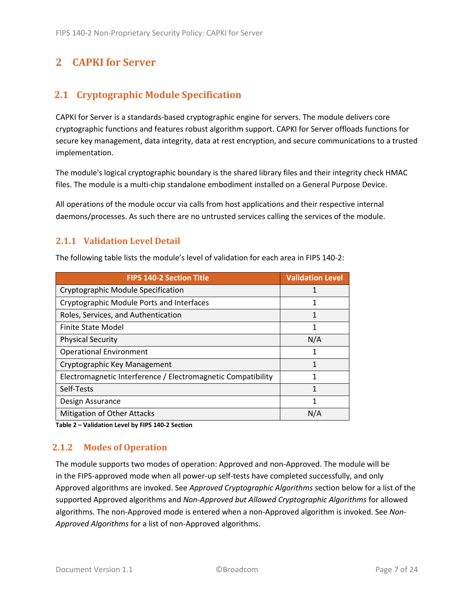## <span id="page-6-0"></span>**2 CAPKI for Server**

## <span id="page-6-1"></span>**2.1 Cryptographic Module Specification**

CAPKI for Server is a standards-based cryptographic engine for servers. The module delivers core cryptographic functions and features robust algorithm support. CAPKI for Server offloads functions for secure key management, data integrity, data at rest encryption, and secure communications to a trusted implementation.

The module's logical cryptographic boundary is the shared library files and their integrity check HMAC files. The module is a multi-chip standalone embodiment installed on a General Purpose Device.

All operations of the module occur via calls from host applications and their respective internal daemons/processes. As such there are no untrusted services calling the services of the module.

#### <span id="page-6-2"></span>**2.1.1 Validation Level Detail**

The following table lists the module's level of validation for each area in FIPS 140-2:

| <b>FIPS 140-2 Section Title</b>                              | <b>Validation Level</b> |
|--------------------------------------------------------------|-------------------------|
| Cryptographic Module Specification                           | 1                       |
| Cryptographic Module Ports and Interfaces                    |                         |
| Roles, Services, and Authentication                          | 1                       |
| Finite State Model                                           | 1                       |
| <b>Physical Security</b>                                     | N/A                     |
| <b>Operational Environment</b>                               |                         |
| Cryptographic Key Management                                 |                         |
| Electromagnetic Interference / Electromagnetic Compatibility |                         |
| Self-Tests                                                   |                         |
| Design Assurance                                             | 1                       |
| <b>Mitigation of Other Attacks</b>                           | N/A                     |

**Table 2 – Validation Level by FIPS 140-2 Section**

#### <span id="page-6-3"></span>**2.1.2 Modes of Operation**

The module supports two modes of operation: Approved and non-Approved. The module will be in the FIPS-approved mode when all power-up self-tests have completed successfully, and only Approved algorithms are invoked. See *Approved Cryptographic Algorithms* section below for a list of the supported Approved algorithms and *Non-Approved but Allowed Cryptographic Algorithms* for allowed algorithms. The non-Approved mode is entered when a non-Approved algorithm is invoked. See *Non-Approved Algorithms* for a list of non-Approved algorithms.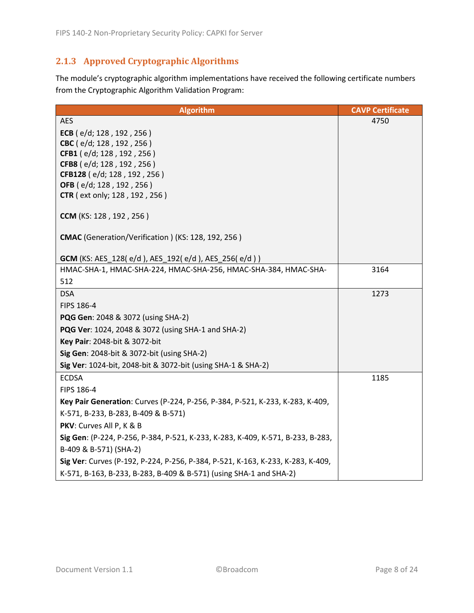## <span id="page-7-0"></span>**2.1.3 Approved Cryptographic Algorithms**

The module's cryptographic algorithm implementations have received the following certificate numbers from the Cryptographic Algorithm Validation Program:

| <b>Algorithm</b>                                                                | <b>CAVP Certificate</b> |
|---------------------------------------------------------------------------------|-------------------------|
| <b>AES</b>                                                                      | 4750                    |
| ECB (e/d; 128, 192, 256)                                                        |                         |
| CBC (e/d; 128, 192, 256)                                                        |                         |
| CFB1 (e/d; 128, 192, 256)                                                       |                         |
| CFB8 (e/d; 128, 192, 256)<br>CFB128 (e/d; 128, 192, 256)                        |                         |
| OFB (e/d; 128, 192, 256)                                                        |                         |
| <b>CTR</b> (ext only; 128, 192, 256)                                            |                         |
|                                                                                 |                         |
| CCM (KS: 128, 192, 256)                                                         |                         |
| CMAC (Generation/Verification) (KS: 128, 192, 256)                              |                         |
|                                                                                 |                         |
| <b>GCM</b> (KS: AES_128(e/d), AES_192(e/d), AES_256(e/d))                       |                         |
| HMAC-SHA-1, HMAC-SHA-224, HMAC-SHA-256, HMAC-SHA-384, HMAC-SHA-                 | 3164                    |
| 512                                                                             |                         |
| <b>DSA</b>                                                                      | 1273                    |
| FIPS 186-4                                                                      |                         |
| PQG Gen: 2048 & 3072 (using SHA-2)                                              |                         |
| PQG Ver: 1024, 2048 & 3072 (using SHA-1 and SHA-2)                              |                         |
| Key Pair: 2048-bit & 3072-bit                                                   |                         |
| Sig Gen: 2048-bit & 3072-bit (using SHA-2)                                      |                         |
| Sig Ver: 1024-bit, 2048-bit & 3072-bit (using SHA-1 & SHA-2)                    |                         |
| <b>ECDSA</b>                                                                    | 1185                    |
| FIPS 186-4                                                                      |                         |
| Key Pair Generation: Curves (P-224, P-256, P-384, P-521, K-233, K-283, K-409,   |                         |
| K-571, B-233, B-283, B-409 & B-571)                                             |                         |
| PKV: Curves All P, K & B                                                        |                         |
| Sig Gen: (P-224, P-256, P-384, P-521, K-233, K-283, K-409, K-571, B-233, B-283, |                         |
| B-409 & B-571) (SHA-2)                                                          |                         |
| Sig Ver: Curves (P-192, P-224, P-256, P-384, P-521, K-163, K-233, K-283, K-409, |                         |
| K-571, B-163, B-233, B-283, B-409 & B-571) (using SHA-1 and SHA-2)              |                         |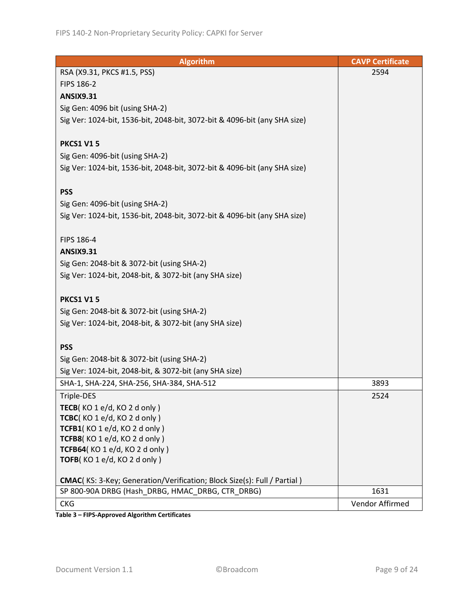| <b>Algorithm</b>                                                          | <b>CAVP Certificate</b> |
|---------------------------------------------------------------------------|-------------------------|
| RSA (X9.31, PKCS #1.5, PSS)                                               | 2594                    |
| FIPS 186-2                                                                |                         |
| <b>ANSIX9.31</b>                                                          |                         |
| Sig Gen: 4096 bit (using SHA-2)                                           |                         |
| Sig Ver: 1024-bit, 1536-bit, 2048-bit, 3072-bit & 4096-bit (any SHA size) |                         |
|                                                                           |                         |
| <b>PKCS1 V15</b>                                                          |                         |
| Sig Gen: 4096-bit (using SHA-2)                                           |                         |
| Sig Ver: 1024-bit, 1536-bit, 2048-bit, 3072-bit & 4096-bit (any SHA size) |                         |
|                                                                           |                         |
| <b>PSS</b>                                                                |                         |
| Sig Gen: 4096-bit (using SHA-2)                                           |                         |
| Sig Ver: 1024-bit, 1536-bit, 2048-bit, 3072-bit & 4096-bit (any SHA size) |                         |
|                                                                           |                         |
| FIPS 186-4                                                                |                         |
| <b>ANSIX9.31</b>                                                          |                         |
| Sig Gen: 2048-bit & 3072-bit (using SHA-2)                                |                         |
| Sig Ver: 1024-bit, 2048-bit, & 3072-bit (any SHA size)                    |                         |
|                                                                           |                         |
| <b>PKCS1 V15</b>                                                          |                         |
| Sig Gen: 2048-bit & 3072-bit (using SHA-2)                                |                         |
| Sig Ver: 1024-bit, 2048-bit, & 3072-bit (any SHA size)                    |                         |
|                                                                           |                         |
| <b>PSS</b>                                                                |                         |
| Sig Gen: 2048-bit & 3072-bit (using SHA-2)                                |                         |
| Sig Ver: 1024-bit, 2048-bit, & 3072-bit (any SHA size)                    |                         |
| SHA-1, SHA-224, SHA-256, SHA-384, SHA-512                                 | 3893                    |
| Triple-DES                                                                | 2524                    |
| TECB(KO 1 e/d, KO 2 d only)                                               |                         |
| TCBC(KO1e/d, KO2donly)                                                    |                         |
| TCFB1(KO 1 e/d, KO 2 d only)                                              |                         |
| TCFB8(KO 1 e/d, KO 2 d only)                                              |                         |
| TCFB64(KO1e/d, KO2d only)<br>TOFB(KO1e/d, KO2d only)                      |                         |
|                                                                           |                         |
| CMAC(KS: 3-Key; Generation/Verification; Block Size(s): Full / Partial)   |                         |
| SP 800-90A DRBG (Hash DRBG, HMAC DRBG, CTR DRBG)                          | 1631                    |
| <b>CKG</b>                                                                | Vendor Affirmed         |

**Table 3 – FIPS-Approved Algorithm Certificates**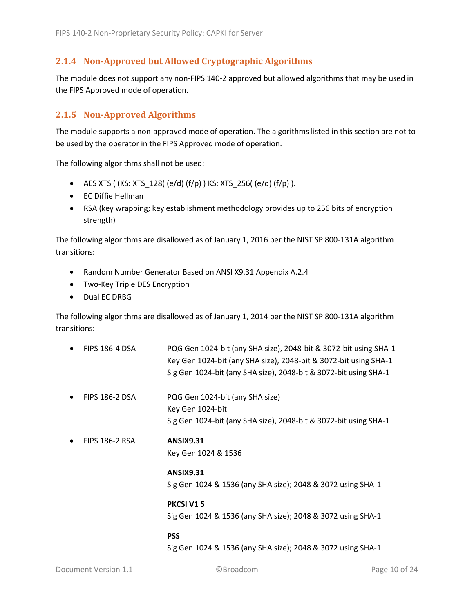#### <span id="page-9-0"></span>**2.1.4 Non-Approved but Allowed Cryptographic Algorithms**

The module does not support any non-FIPS 140-2 approved but allowed algorithms that may be used in the FIPS Approved mode of operation.

#### <span id="page-9-1"></span>**2.1.5 Non-Approved Algorithms**

The module supports a non-approved mode of operation. The algorithms listed in this section are not to be used by the operator in the FIPS Approved mode of operation.

The following algorithms shall not be used:

- AES XTS (  $(KS: XTS_128$   $(e/d)$   $(f/p)$  )  $KS: XTS_256$   $(e/d)$   $(f/p)$  ).
- EC Diffie Hellman
- RSA (key wrapping; key establishment methodology provides up to 256 bits of encryption strength)

The following algorithms are disallowed as of January 1, 2016 per the NIST SP 800-131A algorithm transitions:

- Random Number Generator Based on ANSI X9.31 Appendix A.2.4
- Two-Key Triple DES Encryption
- Dual EC DRBG

The following algorithms are disallowed as of January 1, 2014 per the NIST SP 800-131A algorithm transitions:

- FIPS 186-4 DSA PQG Gen 1024-bit (any SHA size), 2048-bit & 3072-bit using SHA-1 Key Gen 1024-bit (any SHA size), 2048-bit & 3072-bit using SHA-1 Sig Gen 1024-bit (any SHA size), 2048-bit & 3072-bit using SHA-1
- FIPS 186-2 DSA PQG Gen 1024-bit (any SHA size) Key Gen 1024-bit Sig Gen 1024-bit (any SHA size), 2048-bit & 3072-bit using SHA-1
- FIPS 186-2 RSA **ANSIX9.31**

Key Gen 1024 & 1536

#### **ANSIX9.31**

Sig Gen 1024 & 1536 (any SHA size); 2048 & 3072 using SHA-1

#### **PKCSI V1 5** Sig Gen 1024 & 1536 (any SHA size); 2048 & 3072 using SHA-1

#### **PSS**

Sig Gen 1024 & 1536 (any SHA size); 2048 & 3072 using SHA-1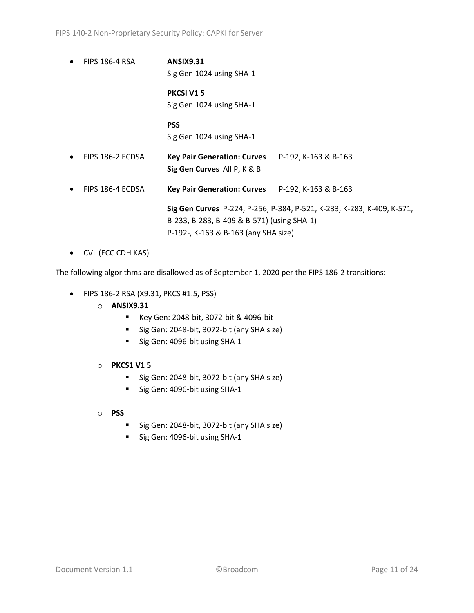• FIPS 186-4 RSA **ANSIX9.31** Sig Gen 1024 using SHA-1

> **PKCSI V1 5** Sig Gen 1024 using SHA-1

> **PSS** Sig Gen 1024 using SHA-1

- FIPS 186-2 ECDSA **Key Pair Generation: Curves** P-192, K-163 & B-163 **Sig Gen Curves** All P, K & B
- FIPS 186-4 ECDSA **Key Pair Generation: Curves** P-192, K-163 & B-163

**Sig Gen Curves** P-224, P-256, P-384, P-521, K-233, K-283, K-409, K-571, B-233, B-283, B-409 & B-571) (using SHA-1) P-192-, K-163 & B-163 (any SHA size)

• CVL (ECC CDH KAS)

The following algorithms are disallowed as of September 1, 2020 per the FIPS 186-2 transitions:

- FIPS 186-2 RSA (X9.31, PKCS #1.5, PSS)
	- o **ANSIX9.31**
		- Key Gen: 2048-bit, 3072-bit & 4096-bit
		- Sig Gen: 2048-bit, 3072-bit (any SHA size)
		- Sig Gen: 4096-bit using SHA-1

#### o **PKCS1 V1 5**

- Sig Gen: 2048-bit, 3072-bit (any SHA size)
- Sig Gen: 4096-bit using SHA-1
- o **PSS**
	- Sig Gen: 2048-bit, 3072-bit (any SHA size)
	- Sig Gen: 4096-bit using SHA-1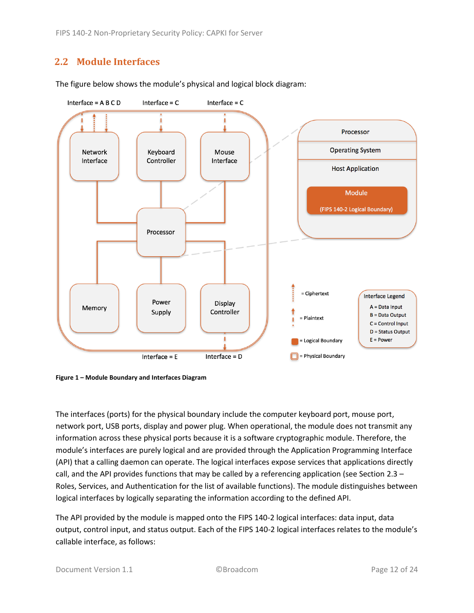## <span id="page-11-0"></span>**2.2 Module Interfaces**



The figure below shows the module's physical and logical block diagram:

<span id="page-11-1"></span>**Figure 1 – Module Boundary and Interfaces Diagram**

The interfaces (ports) for the physical boundary include the computer keyboard port, mouse port, network port, USB ports, display and power plug. When operational, the module does not transmit any information across these physical ports because it is a software cryptographic module. Therefore, the module's interfaces are purely logical and are provided through the Application Programming Interface (API) that a calling daemon can operate. The logical interfaces expose services that applications directly call, and the API provides functions that may be called by a referencing application (see Sectio[n 2.3](#page-12-0) – [Roles, Services, and Authentication](#page-12-0) for the list of available functions). The module distinguishes between logical interfaces by logically separating the information according to the defined API.

The API provided by the module is mapped onto the FIPS 140-2 logical interfaces: data input, data output, control input, and status output. Each of the FIPS 140-2 logical interfaces relates to the module's callable interface, as follows: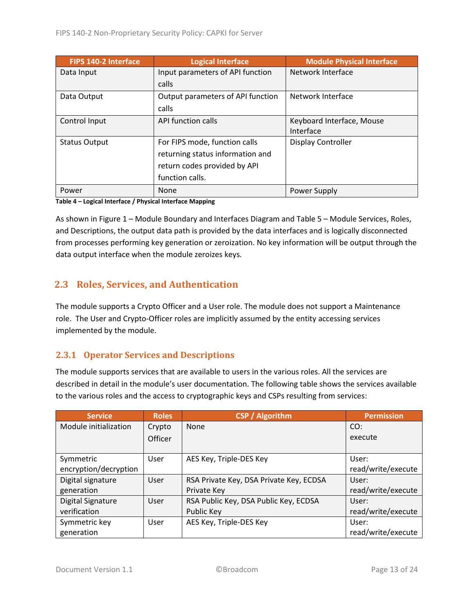| FIPS 140-2 Interface | <b>Logical Interface</b>          | <b>Module Physical Interface</b> |
|----------------------|-----------------------------------|----------------------------------|
| Data Input           | Input parameters of API function  | Network Interface                |
|                      | calls                             |                                  |
| Data Output          | Output parameters of API function | Network Interface                |
|                      | calls                             |                                  |
| Control Input        | API function calls                | Keyboard Interface, Mouse        |
|                      |                                   | Interface                        |
| <b>Status Output</b> | For FIPS mode, function calls     | <b>Display Controller</b>        |
|                      | returning status information and  |                                  |
|                      | return codes provided by API      |                                  |
|                      | function calls.                   |                                  |
| Power                | None                              | Power Supply                     |

**Table 4 – Logical Interface / Physical Interface Mapping**

As shown in Figure 1 – [Module Boundary and Interfaces Diagram](#page-11-1) and Table 5 – [Module Services, Roles,](#page-13-3) [and Descriptions,](#page-13-3) the output data path is provided by the data interfaces and is logically disconnected from processes performing key generation or zeroization. No key information will be output through the data output interface when the module zeroizes keys.

#### <span id="page-12-0"></span>**2.3 Roles, Services, and Authentication**

The module supports a Crypto Officer and a User role. The module does not support a Maintenance role. The User and Crypto-Officer roles are implicitly assumed by the entity accessing services implemented by the module.

#### <span id="page-12-1"></span>**2.3.1 Operator Services and Descriptions**

The module supports services that are available to users in the various roles. All the services are described in detail in the module's user documentation. The following table shows the services available to the various roles and the access to cryptographic keys and CSPs resulting from services:

| <b>Service</b>           | <b>Roles</b>   | <b>CSP / Algorithm</b>                  | <b>Permission</b>  |
|--------------------------|----------------|-----------------------------------------|--------------------|
| Module initialization    | Crypto         | <b>None</b>                             | CO:                |
|                          | <b>Officer</b> |                                         | execute            |
|                          |                |                                         |                    |
| Symmetric                | User           | AES Key, Triple-DES Key                 | User:              |
| encryption/decryption    |                |                                         | read/write/execute |
| Digital signature        | User           | RSA Private Key, DSA Private Key, ECDSA | User:              |
| generation               |                | Private Key                             | read/write/execute |
| <b>Digital Signature</b> | User           | RSA Public Key, DSA Public Key, ECDSA   | User:              |
| verification             |                | Public Key                              | read/write/execute |
| Symmetric key            | User           | AES Key, Triple-DES Key                 | User:              |
| generation               |                |                                         | read/write/execute |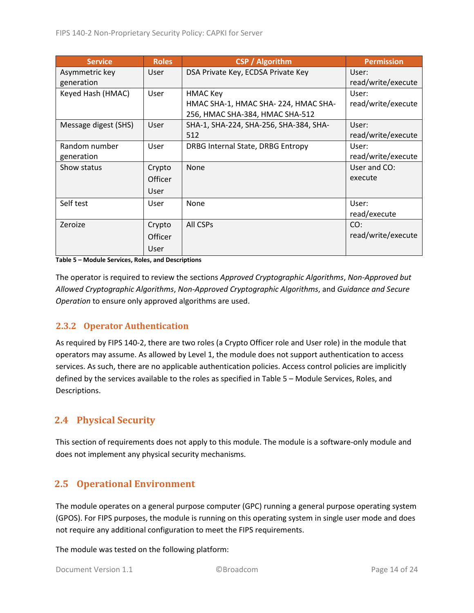| <b>Service</b>       | <b>Roles</b> | <b>CSP</b> / Algorithm                 | <b>Permission</b>  |
|----------------------|--------------|----------------------------------------|--------------------|
| Asymmetric key       | <b>User</b>  | DSA Private Key, ECDSA Private Key     | User:              |
| generation           |              |                                        | read/write/execute |
| Keyed Hash (HMAC)    | User         | <b>HMAC Key</b>                        | User:              |
|                      |              | HMAC SHA-1, HMAC SHA-224, HMAC SHA-    | read/write/execute |
|                      |              | 256, HMAC SHA-384, HMAC SHA-512        |                    |
| Message digest (SHS) | User         | SHA-1, SHA-224, SHA-256, SHA-384, SHA- | User:              |
|                      |              | 512                                    | read/write/execute |
| Random number        | User         | DRBG Internal State, DRBG Entropy      | User:              |
| generation           |              |                                        | read/write/execute |
| Show status          | Crypto       | <b>None</b>                            | User and CO:       |
|                      | Officer      |                                        | execute            |
|                      | User         |                                        |                    |
| Self test            | User         | None                                   | User:              |
|                      |              |                                        | read/execute       |
| Zeroize              | Crypto       | All CSPs                               | CO:                |
|                      | Officer      |                                        | read/write/execute |
|                      | User         |                                        |                    |

<span id="page-13-3"></span>**Table 5 – Module Services, Roles, and Descriptions**

The operator is required to review the sections *Approved Cryptographic Algorithms*, *Non-Approved but Allowed Cryptographic Algorithms*, *Non-Approved Cryptographic Algorithms*, and *Guidance and Secure Operation* to ensure only approved algorithms are used.

#### <span id="page-13-0"></span>**2.3.2 Operator Authentication**

As required by FIPS 140-2, there are two roles (a Crypto Officer role and User role) in the module that operators may assume. As allowed by Level 1, the module does not support authentication to access services. As such, there are no applicable authentication policies. Access control policies are implicitly defined by the services available to the roles as specified in Table 5 – [Module Services, Roles,](#page-13-3) and [Descriptions.](#page-13-3)

## <span id="page-13-1"></span>**2.4 Physical Security**

This section of requirements does not apply to this module. The module is a software-only module and does not implement any physical security mechanisms.

## <span id="page-13-2"></span>**2.5 Operational Environment**

The module operates on a general purpose computer (GPC) running a general purpose operating system (GPOS). For FIPS purposes, the module is running on this operating system in single user mode and does not require any additional configuration to meet the FIPS requirements.

The module was tested on the following platform: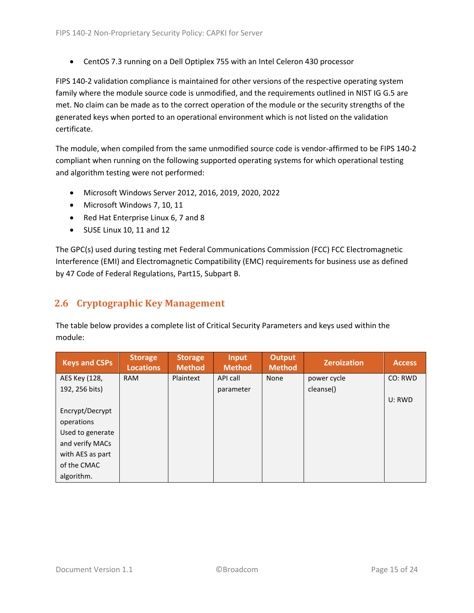• CentOS 7.3 running on a Dell Optiplex 755 with an Intel Celeron 430 processor

FIPS 140-2 validation compliance is maintained for other versions of the respective operating system family where the module source code is unmodified, and the requirements outlined in NIST IG G.5 are met. No claim can be made as to the correct operation of the module or the security strengths of the generated keys when ported to an operational environment which is not listed on the validation certificate.

The module, when compiled from the same unmodified source code is vendor-affirmed to be FIPS 140-2 compliant when running on the following supported operating systems for which operational testing and algorithm testing were not performed:

- Microsoft Windows Server 2012, 2016, 2019, 2020, 2022
- Microsoft Windows 7, 10, 11
- Red Hat Enterprise Linux 6, 7 and 8
- SUSE Linux 10, 11 and 12

The GPC(s) used during testing met Federal Communications Commission (FCC) FCC Electromagnetic Interference (EMI) and Electromagnetic Compatibility (EMC) requirements for business use as defined by 47 Code of Federal Regulations, Part15, Subpart B.

#### <span id="page-14-0"></span>**2.6 Cryptographic Key Management**

The table below provides a complete list of Critical Security Parameters and keys used within the module:

| <b>Keys and CSPs</b> | <b>Storage</b><br><b>Locations</b> | <b>Storage</b><br><b>Method</b> | <b>Input</b><br><b>Method</b> | Output<br><b>Method</b> | <b>Zeroization</b> | <b>Access</b> |
|----------------------|------------------------------------|---------------------------------|-------------------------------|-------------------------|--------------------|---------------|
| AES Key (128,        | <b>RAM</b>                         | Plaintext                       | API call                      | None                    | power cycle        | CO: RWD       |
| 192, 256 bits)       |                                    |                                 | parameter                     |                         | cleanse()          |               |
|                      |                                    |                                 |                               |                         |                    | U: RWD        |
| Encrypt/Decrypt      |                                    |                                 |                               |                         |                    |               |
| operations           |                                    |                                 |                               |                         |                    |               |
| Used to generate     |                                    |                                 |                               |                         |                    |               |
| and verify MACs      |                                    |                                 |                               |                         |                    |               |
| with AES as part     |                                    |                                 |                               |                         |                    |               |
| of the CMAC          |                                    |                                 |                               |                         |                    |               |
| algorithm.           |                                    |                                 |                               |                         |                    |               |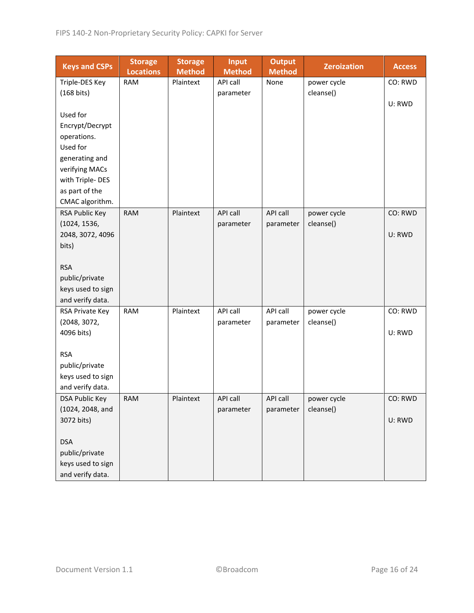| <b>Keys and CSPs</b> | <b>Storage</b><br><b>Locations</b> | <b>Storage</b><br><b>Method</b> | <b>Input</b><br><b>Method</b> | <b>Output</b><br><b>Method</b> | <b>Zeroization</b> | <b>Access</b> |
|----------------------|------------------------------------|---------------------------------|-------------------------------|--------------------------------|--------------------|---------------|
| Triple-DES Key       | <b>RAM</b>                         | Plaintext                       | API call                      | None                           | power cycle        | CO: RWD       |
| (168 bits)           |                                    |                                 | parameter                     |                                | cleanse()          |               |
|                      |                                    |                                 |                               |                                |                    | U: RWD        |
| Used for             |                                    |                                 |                               |                                |                    |               |
| Encrypt/Decrypt      |                                    |                                 |                               |                                |                    |               |
| operations.          |                                    |                                 |                               |                                |                    |               |
| Used for             |                                    |                                 |                               |                                |                    |               |
| generating and       |                                    |                                 |                               |                                |                    |               |
| verifying MACs       |                                    |                                 |                               |                                |                    |               |
| with Triple-DES      |                                    |                                 |                               |                                |                    |               |
| as part of the       |                                    |                                 |                               |                                |                    |               |
| CMAC algorithm.      |                                    |                                 |                               |                                |                    |               |
| RSA Public Key       | <b>RAM</b>                         | Plaintext                       | <b>API call</b>               | API call                       | power cycle        | CO: RWD       |
| (1024, 1536,         |                                    |                                 | parameter                     | parameter                      | cleanse()          |               |
| 2048, 3072, 4096     |                                    |                                 |                               |                                |                    | U: RWD        |
| bits)                |                                    |                                 |                               |                                |                    |               |
|                      |                                    |                                 |                               |                                |                    |               |
| <b>RSA</b>           |                                    |                                 |                               |                                |                    |               |
| public/private       |                                    |                                 |                               |                                |                    |               |
| keys used to sign    |                                    |                                 |                               |                                |                    |               |
| and verify data.     |                                    |                                 |                               |                                |                    |               |
| RSA Private Key      | <b>RAM</b>                         | Plaintext                       | API call                      | API call                       | power cycle        | CO: RWD       |
| (2048, 3072,         |                                    |                                 | parameter                     | parameter                      | cleanse()          |               |
| 4096 bits)           |                                    |                                 |                               |                                |                    | U: RWD        |
| <b>RSA</b>           |                                    |                                 |                               |                                |                    |               |
| public/private       |                                    |                                 |                               |                                |                    |               |
| keys used to sign    |                                    |                                 |                               |                                |                    |               |
| and verify data.     |                                    |                                 |                               |                                |                    |               |
| DSA Public Key       | <b>RAM</b>                         | Plaintext                       | API call                      | <b>API call</b>                | power cycle        | CO: RWD       |
| (1024, 2048, and     |                                    |                                 | parameter                     | parameter                      | cleanse()          |               |
| 3072 bits)           |                                    |                                 |                               |                                |                    | U: RWD        |
|                      |                                    |                                 |                               |                                |                    |               |
| <b>DSA</b>           |                                    |                                 |                               |                                |                    |               |
| public/private       |                                    |                                 |                               |                                |                    |               |
| keys used to sign    |                                    |                                 |                               |                                |                    |               |
| and verify data.     |                                    |                                 |                               |                                |                    |               |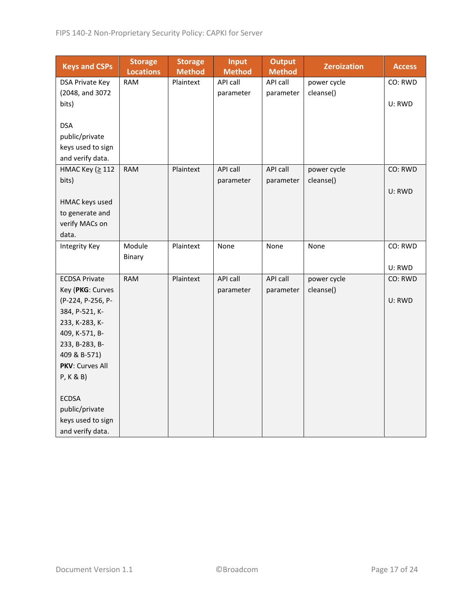| <b>Keys and CSPs</b> | <b>Storage</b><br><b>Locations</b> | <b>Storage</b><br><b>Method</b> | <b>Input</b><br><b>Method</b> | <b>Output</b><br><b>Method</b> | <b>Zeroization</b> | <b>Access</b> |
|----------------------|------------------------------------|---------------------------------|-------------------------------|--------------------------------|--------------------|---------------|
| DSA Private Key      | <b>RAM</b>                         | Plaintext                       | API call                      | API call                       | power cycle        | CO: RWD       |
| (2048, and 3072      |                                    |                                 | parameter                     | parameter                      | cleanse()          |               |
| bits)                |                                    |                                 |                               |                                |                    | U: RWD        |
|                      |                                    |                                 |                               |                                |                    |               |
| <b>DSA</b>           |                                    |                                 |                               |                                |                    |               |
| public/private       |                                    |                                 |                               |                                |                    |               |
| keys used to sign    |                                    |                                 |                               |                                |                    |               |
| and verify data.     |                                    |                                 |                               |                                |                    |               |
| НМАС Кеу (≥ 112      | <b>RAM</b>                         | Plaintext                       | API call                      | API call                       | power cycle        | CO: RWD       |
| bits)                |                                    |                                 | parameter                     | parameter                      | cleanse()          |               |
| HMAC keys used       |                                    |                                 |                               |                                |                    | U: RWD        |
| to generate and      |                                    |                                 |                               |                                |                    |               |
| verify MACs on       |                                    |                                 |                               |                                |                    |               |
| data.                |                                    |                                 |                               |                                |                    |               |
| <b>Integrity Key</b> | Module                             | Plaintext                       | None                          | None                           | None               | CO: RWD       |
|                      | Binary                             |                                 |                               |                                |                    |               |
|                      |                                    |                                 |                               |                                |                    | U: RWD        |
| <b>ECDSA Private</b> | <b>RAM</b>                         | Plaintext                       | API call                      | API call                       | power cycle        | CO: RWD       |
| Key (PKG: Curves     |                                    |                                 | parameter                     | parameter                      | cleanse()          |               |
| (P-224, P-256, P-    |                                    |                                 |                               |                                |                    | U: RWD        |
| 384, P-521, K-       |                                    |                                 |                               |                                |                    |               |
| 233, K-283, K-       |                                    |                                 |                               |                                |                    |               |
| 409, K-571, B-       |                                    |                                 |                               |                                |                    |               |
| 233, B-283, B-       |                                    |                                 |                               |                                |                    |               |
| 409 & B-571)         |                                    |                                 |                               |                                |                    |               |
| PKV: Curves All      |                                    |                                 |                               |                                |                    |               |
| P, K & B)            |                                    |                                 |                               |                                |                    |               |
| <b>ECDSA</b>         |                                    |                                 |                               |                                |                    |               |
| public/private       |                                    |                                 |                               |                                |                    |               |
| keys used to sign    |                                    |                                 |                               |                                |                    |               |
| and verify data.     |                                    |                                 |                               |                                |                    |               |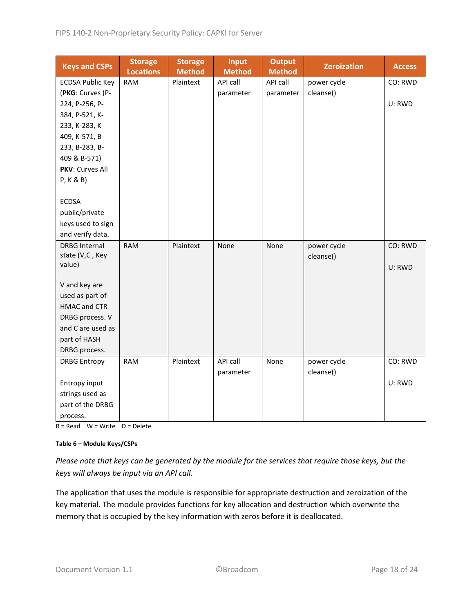| <b>Keys and CSPs</b>    | <b>Storage</b><br><b>Locations</b> | <b>Storage</b><br><b>Method</b> | <b>Input</b><br><b>Method</b> | <b>Output</b><br><b>Method</b> | <b>Zeroization</b> | <b>Access</b> |
|-------------------------|------------------------------------|---------------------------------|-------------------------------|--------------------------------|--------------------|---------------|
| <b>ECDSA Public Key</b> | <b>RAM</b>                         | Plaintext                       | API call                      | API call                       | power cycle        | CO: RWD       |
| (PKG: Curves (P-        |                                    |                                 | parameter                     | parameter                      | cleanse()          |               |
| 224, P-256, P-          |                                    |                                 |                               |                                |                    | U: RWD        |
| 384, P-521, K-          |                                    |                                 |                               |                                |                    |               |
| 233, K-283, K-          |                                    |                                 |                               |                                |                    |               |
| 409, K-571, B-          |                                    |                                 |                               |                                |                    |               |
| 233, B-283, B-          |                                    |                                 |                               |                                |                    |               |
| 409 & B-571)            |                                    |                                 |                               |                                |                    |               |
| PKV: Curves All         |                                    |                                 |                               |                                |                    |               |
| P, K & B)               |                                    |                                 |                               |                                |                    |               |
|                         |                                    |                                 |                               |                                |                    |               |
| <b>ECDSA</b>            |                                    |                                 |                               |                                |                    |               |
| public/private          |                                    |                                 |                               |                                |                    |               |
| keys used to sign       |                                    |                                 |                               |                                |                    |               |
| and verify data.        |                                    |                                 |                               |                                |                    |               |
| <b>DRBG Internal</b>    | <b>RAM</b>                         | Plaintext                       | None                          | None                           | power cycle        | CO: RWD       |
| state (V,C, Key         |                                    |                                 |                               |                                | cleanse()          |               |
| value)                  |                                    |                                 |                               |                                |                    | U: RWD        |
| V and key are           |                                    |                                 |                               |                                |                    |               |
| used as part of         |                                    |                                 |                               |                                |                    |               |
| <b>HMAC and CTR</b>     |                                    |                                 |                               |                                |                    |               |
| DRBG process. V         |                                    |                                 |                               |                                |                    |               |
| and C are used as       |                                    |                                 |                               |                                |                    |               |
| part of HASH            |                                    |                                 |                               |                                |                    |               |
| DRBG process.           |                                    |                                 |                               |                                |                    |               |
| <b>DRBG Entropy</b>     | <b>RAM</b>                         | Plaintext                       | API call                      | None                           | power cycle        | CO: RWD       |
|                         |                                    |                                 | parameter                     |                                | cleanse()          |               |
| Entropy input           |                                    |                                 |                               |                                |                    | U: RWD        |
| strings used as         |                                    |                                 |                               |                                |                    |               |
| part of the DRBG        |                                    |                                 |                               |                                |                    |               |
| process.                |                                    |                                 |                               |                                |                    |               |

 $R = Read \tW = Write \tD = Delete$ 

#### **Table 6 – Module Keys/CSPs**

*Please note that keys can be generated by the module for the services that require those keys, but the keys will always be input via an API call.*

The application that uses the module is responsible for appropriate destruction and zeroization of the key material. The module provides functions for key allocation and destruction which overwrite the memory that is occupied by the key information with zeros before it is deallocated.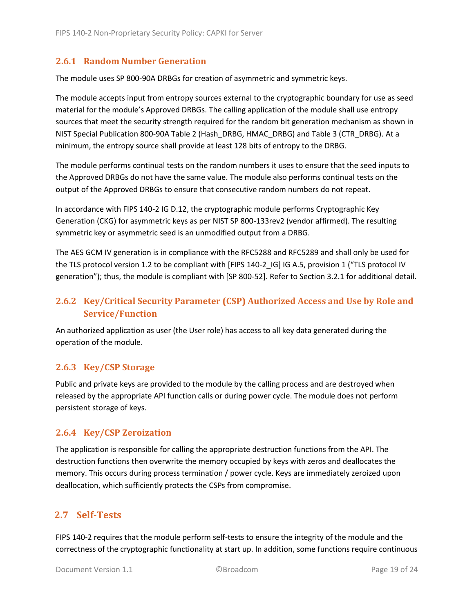#### <span id="page-18-0"></span>**2.6.1 Random Number Generation**

The module uses SP 800-90A DRBGs for creation of asymmetric and symmetric keys.

The module accepts input from entropy sources external to the cryptographic boundary for use as seed material for the module's Approved DRBGs. The calling application of the module shall use entropy sources that meet the security strength required for the random bit generation mechanism as shown in NIST Special Publication 800-90A Table 2 (Hash\_DRBG, HMAC\_DRBG) and Table 3 (CTR\_DRBG). At a minimum, the entropy source shall provide at least 128 bits of entropy to the DRBG.

The module performs continual tests on the random numbers it uses to ensure that the seed inputs to the Approved DRBGs do not have the same value. The module also performs continual tests on the output of the Approved DRBGs to ensure that consecutive random numbers do not repeat.

In accordance with FIPS 140-2 IG D.12, the cryptographic module performs Cryptographic Key Generation (CKG) for asymmetric keys as per NIST SP 800-133rev2 (vendor affirmed). The resulting symmetric key or asymmetric seed is an unmodified output from a DRBG.

The AES GCM IV generation is in compliance with the RFC5288 and RFC5289 and shall only be used for the TLS protocol version 1.2 to be compliant with [FIPS 140-2 IG] IG A.5, provision 1 ("TLS protocol IV generation"); thus, the module is compliant with [SP 800-52]. Refer to Sectio[n 3.2.1](#page-22-5) for additional detail.

### <span id="page-18-1"></span>**2.6.2 Key/Critical Security Parameter (CSP) Authorized Access and Use by Role and Service/Function**

An authorized application as user (the User role) has access to all key data generated during the operation of the module.

#### <span id="page-18-2"></span>**2.6.3 Key/CSP Storage**

Public and private keys are provided to the module by the calling process and are destroyed when released by the appropriate API function calls or during power cycle. The module does not perform persistent storage of keys.

#### <span id="page-18-3"></span>**2.6.4 Key/CSP Zeroization**

The application is responsible for calling the appropriate destruction functions from the API. The destruction functions then overwrite the memory occupied by keys with zeros and deallocates the memory. This occurs during process termination / power cycle. Keys are immediately zeroized upon deallocation, which sufficiently protects the CSPs from compromise.

#### <span id="page-18-4"></span>**2.7 Self-Tests**

FIPS 140-2 requires that the module perform self-tests to ensure the integrity of the module and the correctness of the cryptographic functionality at start up. In addition, some functions require continuous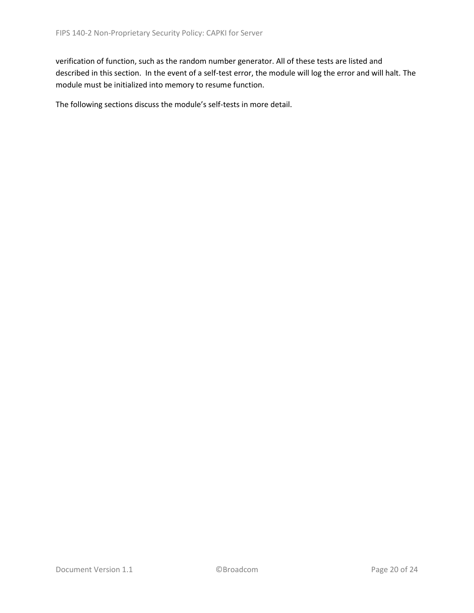verification of function, such as the random number generator. All of these tests are listed and described in this section. In the event of a self-test error, the module will log the error and will halt. The module must be initialized into memory to resume function.

The following sections discuss the module's self-tests in more detail.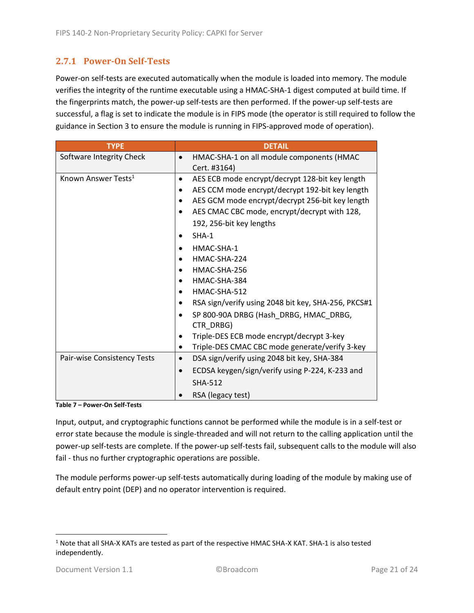#### <span id="page-20-0"></span>**2.7.1 Power-On Self-Tests**

Power-on self-tests are executed automatically when the module is loaded into memory. The module verifies the integrity of the runtime executable using a HMAC-SHA-1 digest computed at build time. If the fingerprints match, the power-up self-tests are then performed. If the power-up self-tests are successful, a flag is set to indicate the module is in FIPS mode (the operator is still required to follow the guidance in Section [3](#page-22-0) to ensure the module is running in FIPS-approved mode of operation).

| <b>TYPE</b>                     | <b>DETAIL</b>                                                    |  |  |  |
|---------------------------------|------------------------------------------------------------------|--|--|--|
| Software Integrity Check        | HMAC-SHA-1 on all module components (HMAC<br>$\bullet$           |  |  |  |
|                                 | Cert. #3164)                                                     |  |  |  |
| Known Answer Tests <sup>1</sup> | AES ECB mode encrypt/decrypt 128-bit key length<br>$\bullet$     |  |  |  |
|                                 | AES CCM mode encrypt/decrypt 192-bit key length                  |  |  |  |
|                                 | AES GCM mode encrypt/decrypt 256-bit key length                  |  |  |  |
|                                 | AES CMAC CBC mode, encrypt/decrypt with 128,                     |  |  |  |
|                                 | 192, 256-bit key lengths                                         |  |  |  |
|                                 | $SHA-1$                                                          |  |  |  |
|                                 | HMAC-SHA-1                                                       |  |  |  |
|                                 | HMAC-SHA-224                                                     |  |  |  |
|                                 | HMAC-SHA-256                                                     |  |  |  |
|                                 | HMAC-SHA-384                                                     |  |  |  |
|                                 | HMAC-SHA-512                                                     |  |  |  |
|                                 | RSA sign/verify using 2048 bit key, SHA-256, PKCS#1<br>$\bullet$ |  |  |  |
|                                 | SP 800-90A DRBG (Hash_DRBG, HMAC_DRBG,                           |  |  |  |
|                                 | CTR DRBG)                                                        |  |  |  |
|                                 | Triple-DES ECB mode encrypt/decrypt 3-key                        |  |  |  |
|                                 | Triple-DES CMAC CBC mode generate/verify 3-key                   |  |  |  |
| Pair-wise Consistency Tests     | DSA sign/verify using 2048 bit key, SHA-384<br>$\bullet$         |  |  |  |
|                                 | ECDSA keygen/sign/verify using P-224, K-233 and<br>$\bullet$     |  |  |  |
|                                 | <b>SHA-512</b>                                                   |  |  |  |
|                                 | RSA (legacy test)                                                |  |  |  |

**Table 7 – Power-On Self-Tests**

Input, output, and cryptographic functions cannot be performed while the module is in a self-test or error state because the module is single-threaded and will not return to the calling application until the power-up self-tests are complete. If the power-up self-tests fail, subsequent calls to the module will also fail - thus no further cryptographic operations are possible.

The module performs power-up self-tests automatically during loading of the module by making use of default entry point (DEP) and no operator intervention is required.

<sup>1</sup> Note that all SHA-X KATs are tested as part of the respective HMAC SHA-X KAT. SHA-1 is also tested independently.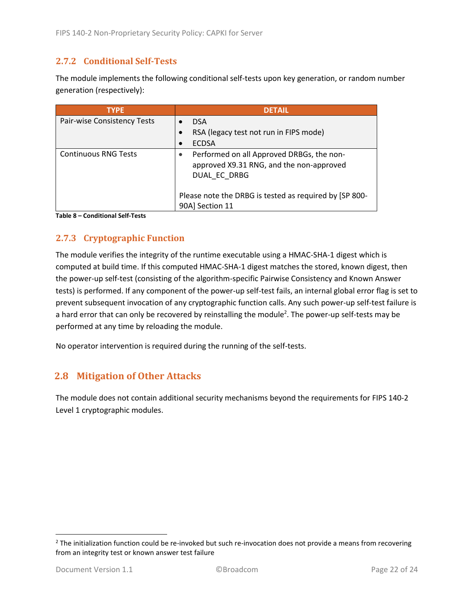#### <span id="page-21-0"></span>**2.7.2 Conditional Self-Tests**

The module implements the following conditional self-tests upon key generation, or random number generation (respectively):

| <b>TYPE</b>                 | <b>DETAIL</b>                                                                                         |
|-----------------------------|-------------------------------------------------------------------------------------------------------|
| Pair-wise Consistency Tests | <b>DSA</b>                                                                                            |
|                             | RSA (legacy test not run in FIPS mode)                                                                |
|                             | <b>ECDSA</b>                                                                                          |
| <b>Continuous RNG Tests</b> | Performed on all Approved DRBGs, the non-<br>approved X9.31 RNG, and the non-approved<br>DUAL EC DRBG |
|                             | Please note the DRBG is tested as required by [SP 800-<br>90A] Section 11                             |

**Table 8 – Conditional Self-Tests**

#### <span id="page-21-1"></span>**2.7.3 Cryptographic Function**

The module verifies the integrity of the runtime executable using a HMAC-SHA-1 digest which is computed at build time. If this computed HMAC-SHA-1 digest matches the stored, known digest, then the power-up self-test (consisting of the algorithm-specific Pairwise Consistency and Known Answer tests) is performed. If any component of the power-up self-test fails, an internal global error flag is set to prevent subsequent invocation of any cryptographic function calls. Any such power-up self-test failure is a hard error that can only be recovered by reinstalling the module<sup>2</sup>. The power-up self-tests may be performed at any time by reloading the module.

No operator intervention is required during the running of the self-tests.

#### <span id="page-21-2"></span>**2.8 Mitigation of Other Attacks**

The module does not contain additional security mechanisms beyond the requirements for FIPS 140-2 Level 1 cryptographic modules.

 $2$  The initialization function could be re-invoked but such re-invocation does not provide a means from recovering from an integrity test or known answer test failure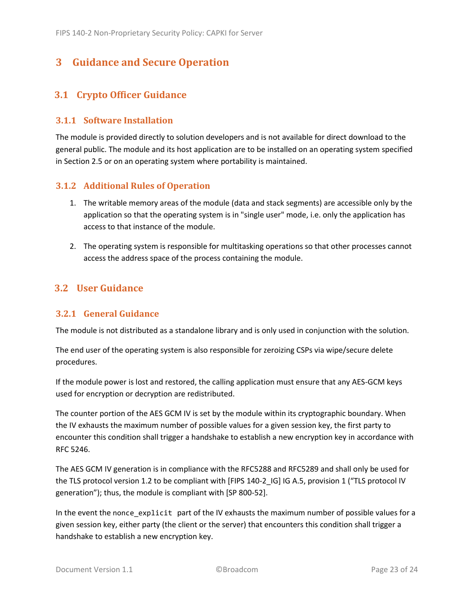## <span id="page-22-0"></span>**3 Guidance and Secure Operation**

#### <span id="page-22-1"></span>**3.1 Crypto Officer Guidance**

#### <span id="page-22-2"></span>**3.1.1 Software Installation**

The module is provided directly to solution developers and is not available for direct download to the general public. The module and its host application are to be installed on an operating system specified in Section [2.5](#page-13-2) or on an operating system where portability is maintained.

#### <span id="page-22-3"></span>**3.1.2 Additional Rules of Operation**

- 1. The writable memory areas of the module (data and stack segments) are accessible only by the application so that the operating system is in "single user" mode, i.e. only the application has access to that instance of the module.
- 2. The operating system is responsible for multitasking operations so that other processes cannot access the address space of the process containing the module.

#### <span id="page-22-4"></span>**3.2 User Guidance**

#### <span id="page-22-5"></span>**3.2.1 General Guidance**

The module is not distributed as a standalone library and is only used in conjunction with the solution.

The end user of the operating system is also responsible for zeroizing CSPs via wipe/secure delete procedures.

If the module power is lost and restored, the calling application must ensure that any AES-GCM keys used for encryption or decryption are redistributed.

The counter portion of the AES GCM IV is set by the module within its cryptographic boundary. When the IV exhausts the maximum number of possible values for a given session key, the first party to encounter this condition shall trigger a handshake to establish a new encryption key in accordance with RFC 5246.

The AES GCM IV generation is in compliance with the RFC5288 and RFC5289 and shall only be used for the TLS protocol version 1.2 to be compliant with [FIPS 140-2 IG] IG A.5, provision 1 ("TLS protocol IV generation"); thus, the module is compliant with [SP 800-52].

In the event the nonce\_explicit part of the IV exhausts the maximum number of possible values for a given session key, either party (the client or the server) that encounters this condition shall trigger a handshake to establish a new encryption key.